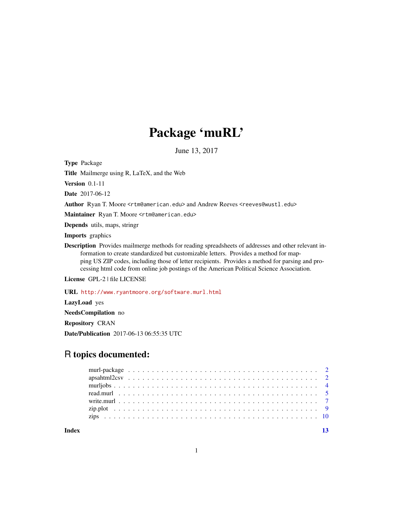## Package 'muRL'

June 13, 2017

Type Package

Title Mailmerge using R, LaTeX, and the Web

Version 0.1-11

Date 2017-06-12

Author Ryan T. Moore <rtm@american.edu> and Andrew Reeves <reeves@wustl.edu>

Maintainer Ryan T. Moore <rtm@american.edu>

Depends utils, maps, stringr

Imports graphics

Description Provides mailmerge methods for reading spreadsheets of addresses and other relevant information to create standardized but customizable letters. Provides a method for mapping US ZIP codes, including those of letter recipients. Provides a method for parsing and processing html code from online job postings of the American Political Science Association.

License GPL-2 | file LICENSE

URL <http://www.ryantmoore.org/software.murl.html>

LazyLoad yes

NeedsCompilation no

Repository CRAN

Date/Publication 2017-06-13 06:55:35 UTC

## R topics documented:

**Index** [13](#page-12-0)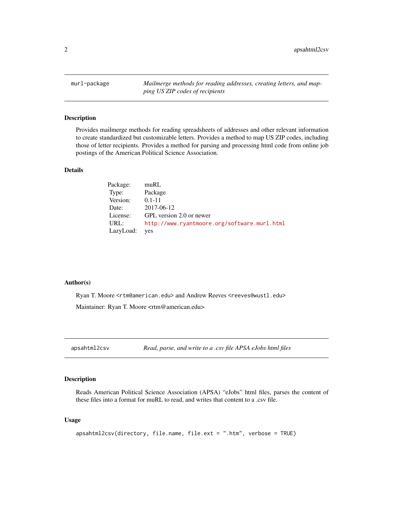<span id="page-1-0"></span>murl-package *Mailmerge methods for reading addresses, creating letters, and mapping US ZIP codes of recipients*

#### Description

Provides mailmerge methods for reading spreadsheets of addresses and other relevant information to create standardized but customizable letters. Provides a method to map US ZIP codes, including those of letter recipients. Provides a method for parsing and processing html code from online job postings of the American Political Science Association.

#### Details

| Package:  | muRL                                         |
|-----------|----------------------------------------------|
| Type:     | Package                                      |
| Version:  | $0.1 - 11$                                   |
| Date:     | 2017-06-12                                   |
| License:  | GPL version 2.0 or newer                     |
| URL:      | http://www.ryantmoore.org/software.murl.html |
| LazyLoad: | yes                                          |

#### Author(s)

Ryan T. Moore <rtm@american.edu> and Andrew Reeves <reeves@wustl.edu> Maintainer: Ryan T. Moore <rtm@american.edu>

apsahtml2csv *Read, parse, and write to a .csv file APSA eJobs html files*

#### Description

Reads American Political Science Association (APSA) "eJobs" html files, parses the content of these files into a format for muRL to read, and writes that content to a .csv file.

#### Usage

```
apsahtml2csv(directory, file.name, file.ext = ".htm", verbose = TRUE)
```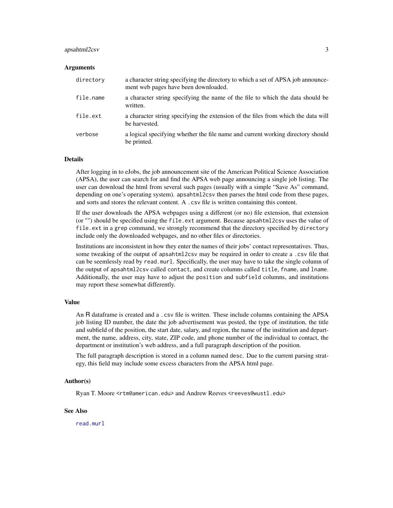#### <span id="page-2-0"></span>apsahtml2csv 3

#### Arguments

| directory | a character string specifying the directory to which a set of APSA job announce-<br>ment web pages have been downloaded. |
|-----------|--------------------------------------------------------------------------------------------------------------------------|
| file.name | a character string specifying the name of the file to which the data should be<br>written.                               |
| file.ext  | a character string specifying the extension of the files from which the data will<br>be harvested.                       |
| verbose   | a logical specifying whether the file name and current working directory should<br>be printed.                           |

#### Details

After logging in to eJobs, the job announcement site of the American Political Science Association (APSA), the user can search for and find the APSA web page announcing a single job listing. The user can download the html from several such pages (usually with a simple "Save As" command, depending on one's operating system). apsahtml2csv then parses the html code from these pages, and sorts and stores the relevant content. A .csv file is written containing this content.

If the user downloads the APSA webpages using a different (or no) file extension, that extension (or "") should be specified using the file.ext argument. Because apsahtml2csv uses the value of file.ext in a grep command, we strongly recommend that the directory specified by directory include only the downloaded webpages, and no other files or directories.

Institutions are inconsistent in how they enter the names of their jobs' contact representatives. Thus, some tweaking of the output of apsahtml2csv may be required in order to create a .csv file that can be seemlessly read by read.murl. Specifically, the user may have to take the single column of the output of apsahtml2csv called contact, and create columns called title, fname, and lname. Additionally, the user may have to adjust the position and subfield columns, and institutions may report these somewhat differently.

#### Value

An R dataframe is created and a .csv file is written. These include columns containing the APSA job listing ID number, the date the job advertisement was posted, the type of institution, the title and subfield of the position, the start date, salary, and region, the name of the institution and department, the name, address, city, state, ZIP code, and phone number of the individual to contact, the department or institution's web address, and a full paragraph description of the position.

The full paragraph description is stored in a column named desc. Due to the current parsing strategy, this field may include some excess characters from the APSA html page.

#### Author(s)

Ryan T. Moore <rtm@american.edu> and Andrew Reeves <reeves@wustl.edu>

#### See Also

[read.murl](#page-4-1)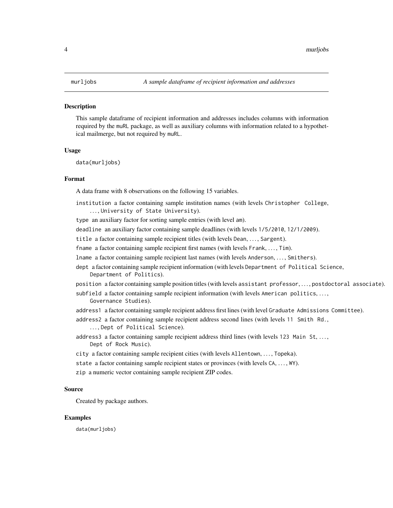#### <span id="page-3-0"></span>Description

This sample dataframe of recipient information and addresses includes columns with information required by the muRL package, as well as auxiliary columns with information related to a hypothetical mailmerge, but not required by muRL.

#### Usage

data(murljobs)

#### Format

A data frame with 8 observations on the following 15 variables.

- institution a factor containing sample institution names (with levels Christopher College, ..., University of State University).
- type an auxiliary factor for sorting sample entries (with level am).
- deadline an auxiliary factor containing sample deadlines (with levels 1/5/2010, 12/1/2009).
- title a factor containing sample recipient titles (with levels Dean, ..., Sargent).
- fname a factor containing sample recipient first names (with levels Frank, ..., Tim).
- lname a factor containing sample recipient last names (with levels Anderson, ..., Smithers).
- dept a factor containing sample recipient information (with levels Department of Political Science, Department of Politics).
- position a factor containing sample position titles (with levels assistant professor, . . . , postdoctoral associate).
- subfield a factor containing sample recipient information (with levels American politics, ..., Governance Studies).
- address1 a factor containing sample recipient address first lines (with level Graduate Admissions Committee).
- address2 a factor containing sample recipient address second lines (with levels 11 Smith Rd., ..., Dept of Political Science).
- address3 a factor containing sample recipient address third lines (with levels 123 Main St, ..., Dept of Rock Music).
- city a factor containing sample recipient cities (with levels Allentown, . . . , Topeka).
- state a factor containing sample recipient states or provinces (with levels CA, ..., WY).
- zip a numeric vector containing sample recipient ZIP codes.

#### Source

Created by package authors.

#### Examples

data(murljobs)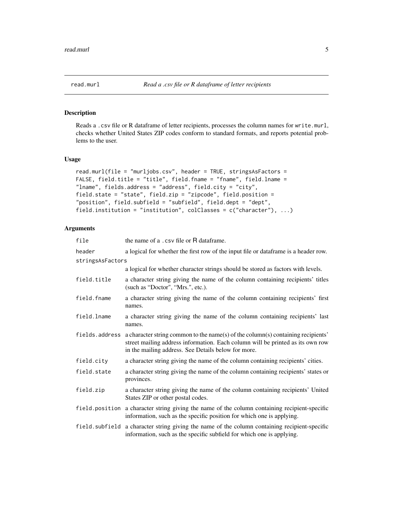<span id="page-4-1"></span><span id="page-4-0"></span>

### Description

Reads a .csv file or R dataframe of letter recipients, processes the column names for write.murl, checks whether United States ZIP codes conform to standard formats, and reports potential problems to the user.

#### Usage

```
read.murl(file = "murljobs.csv", header = TRUE, stringsAsFactors =
FALSE, field.title = "title", field.fname = "fname", field.lname =
"lname", fields.address = "address", field.city = "city",
field.state = "state", field.zip = "zipcode", field.position =
"position", field.subfield = "subfield", field.dept = "dept",
field.institution = "institution", colClasses = c("character"), ...)
```
#### Arguments

| file             | the name of a .csv file or R dataframe.                                                                                                                                                                                   |
|------------------|---------------------------------------------------------------------------------------------------------------------------------------------------------------------------------------------------------------------------|
| header           | a logical for whether the first row of the input file or dataframe is a header row.                                                                                                                                       |
| stringsAsFactors |                                                                                                                                                                                                                           |
|                  | a logical for whether character strings should be stored as factors with levels.                                                                                                                                          |
| field.title      | a character string giving the name of the column containing recipients' titles<br>(such as "Doctor", "Mrs.", etc.).                                                                                                       |
| field.fname      | a character string giving the name of the column containing recipients' first<br>names.                                                                                                                                   |
| field.lname      | a character string giving the name of the column containing recipients' last<br>names.                                                                                                                                    |
| fields.address   | a character string common to the name(s) of the column(s) containing recipients'<br>street mailing address information. Each column will be printed as its own row<br>in the mailing address. See Details below for more. |
| field.city       | a character string giving the name of the column containing recipients' cities.                                                                                                                                           |
| field.state      | a character string giving the name of the column containing recipients' states or<br>provinces.                                                                                                                           |
| field.zip        | a character string giving the name of the column containing recipients' United<br>States ZIP or other postal codes.                                                                                                       |
|                  | field position a character string giving the name of the column containing recipient-specific<br>information, such as the specific position for which one is applying.                                                    |
| field.subfield   | a character string giving the name of the column containing recipient-specific<br>information, such as the specific subfield for which one is applying.                                                                   |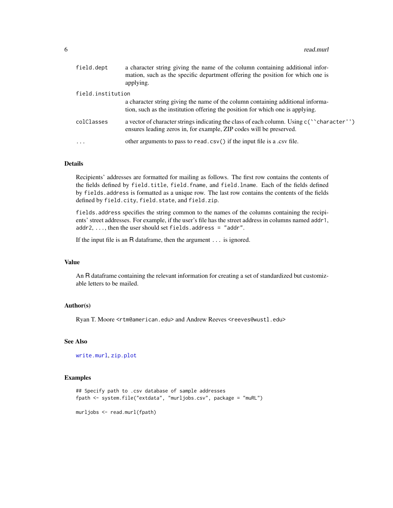<span id="page-5-0"></span>

| field.dept        | a character string giving the name of the column containing additional infor-<br>mation, such as the specific department offering the position for which one is<br>applying. |
|-------------------|------------------------------------------------------------------------------------------------------------------------------------------------------------------------------|
| field.institution |                                                                                                                                                                              |
|                   | a character string giving the name of the column containing additional informa-<br>tion, such as the institution offering the position for which one is applying.            |
| colClasses        | a vector of character strings indicating the class of each column. Using c("character")<br>ensures leading zeros in, for example, ZIP codes will be preserved.               |
| $\cdot$           | other arguments to pass to read.csv() if the input file is a .csv file.                                                                                                      |

#### Details

Recipients' addresses are formatted for mailing as follows. The first row contains the contents of the fields defined by field.title, field.fname, and field.lname. Each of the fields defined by fields.address is formatted as a unique row. The last row contains the contents of the fields defined by field.city, field.state, and field.zip.

fields.address specifies the string common to the names of the columns containing the recipients' street addresses. For example, if the user's file has the street address in columns named addr1,  $addr2, ..., then the user should set fields.address = "addr".$ 

If the input file is an R dataframe, then the argument ... is ignored.

#### Value

An R dataframe containing the relevant information for creating a set of standardized but customizable letters to be mailed.

#### Author(s)

Ryan T. Moore <rtm@american.edu> and Andrew Reeves <reeves@wustl.edu>

#### See Also

[write.murl](#page-6-1), [zip.plot](#page-8-1)

#### Examples

```
## Specify path to .csv database of sample addresses
fpath <- system.file("extdata", "murljobs.csv", package = "muRL")
```
murljobs <- read.murl(fpath)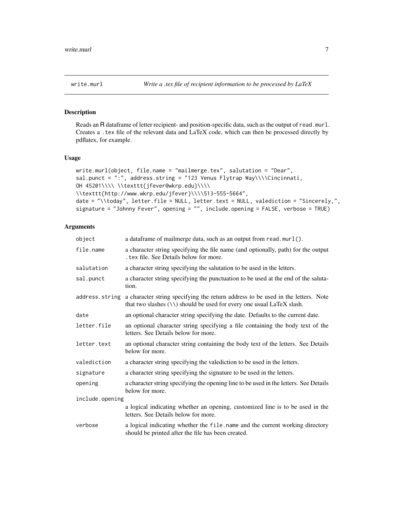<span id="page-6-1"></span><span id="page-6-0"></span>

### Description

Reads an R dataframe of letter recipient- and position-specific data, such as the output of read.murl. Creates a .tex file of the relevant data and LaTeX code, which can then be processed directly by pdflatex, for example.

#### Usage

```
write.murl(object, file.name = "mailmerge.tex", salutation = "Dear",
sal.punct = ":", address.string = "123 Venus Flytrap Way\\\\Cincinnati,
OH 45201\\\\ \\texttt{jfever@wkrp.edu}\\\\
\\texttt{http://www.wkrp.edu/jfever}\\\\513-555-5664",
date = "\\today", letter.file = NULL, letter.text = NULL, valediction = "Sincerely,",
signature = "Johnny Fever", opening = "", include.opening = FALSE, verbose = TRUE)
```
#### Arguments

| object          | a dataframe of mailmerge data, such as an output from read.murl().                                                                                                 |
|-----------------|--------------------------------------------------------------------------------------------------------------------------------------------------------------------|
| file.name       | a character string specifying the file name (and optionally, path) for the output<br>tex file. See Details below for more.                                         |
| salutation      | a character string specifying the salutation to be used in the letters.                                                                                            |
| sal.punct       | a character string specifying the punctuation to be used at the end of the saluta-<br>tion.                                                                        |
| address.string  | a character string specifying the return address to be used in the letters. Note<br>that two slashes $(\setminus)$ should be used for every one usual LaTeX slash. |
| date            | an optional character string specifying the date. Defaults to the current date.                                                                                    |
| letter.file     | an optional character string specifying a file containing the body text of the<br>letters. See Details below for more.                                             |
| letter.text     | an optional character string containing the body text of the letters. See Details<br>below for more.                                                               |
| valediction     | a character string specifying the valediction to be used in the letters.                                                                                           |
| signature       | a character string specifying the signature to be used in the letters.                                                                                             |
| opening         | a character string specifying the opening line to be used in the letters. See Details<br>below for more.                                                           |
| include.opening |                                                                                                                                                                    |
|                 | a logical indicating whether an opening, customized line is to be used in the<br>letters. See Details below for more.                                              |
| verbose         | a logical indicating whether the file name and the current working directory<br>should be printed after the file has been created.                                 |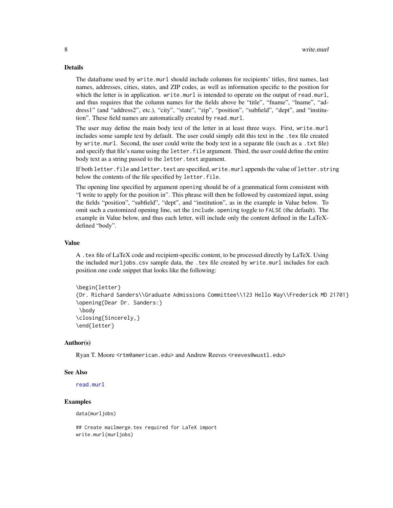#### <span id="page-7-0"></span>Details

The dataframe used by write.murl should include columns for recipients' titles, first names, last names, addresses, cities, states, and ZIP codes, as well as information specific to the position for which the letter is in application. write.murl is intended to operate on the output of read.murl, and thus requires that the column names for the fields above be "title", "fname", "lname", "address1" (and "address2", etc.), "city", "state", "zip", "position", "subfield", "dept", and "institution". These field names are automatically created by read.murl.

The user may define the main body text of the letter in at least three ways. First, write.murl includes some sample text by default. The user could simply edit this text in the . tex file created by write.murl. Second, the user could write the body text in a separate file (such as a .txt file) and specify that file's name using the letter. file argument. Third, the user could define the entire body text as a string passed to the letter. text argument.

If both letter.file and letter.text are specified, write.murl appends the value of letter.string below the contents of the file specified by letter.file.

The opening line specified by argument opening should be of a grammatical form consistent with "I write to apply for the position in". This phrase will then be followed by customized input, using the fields "position", "subfield", "dept", and "institution", as in the example in Value below. To omit such a customized opening line, set the include.opening toggle to FALSE (the default). The example in Value below, and thus each letter, will include only the content defined in the LaTeXdefined "body".

#### Value

A .tex file of LaTeX code and recipient-specific content, to be processed directly by LaTeX. Using the included murljobs.csv sample data, the .tex file created by write.murl includes for each position one code snippet that looks like the following:

```
\begin{letter}
{Dr. Richard Sanders\\Graduate Admissions Committee\\123 Hello Way\\Frederick MD 21701}
\opening{Dear Dr. Sanders:}
\body
\closing{Sincerely,}
\end{letter}
```
#### Author(s)

Ryan T. Moore <rtm@american.edu> and Andrew Reeves <reeves@wustl.edu>

#### See Also

[read.murl](#page-4-1)

#### Examples

data(murljobs)

## Create mailmerge.tex required for LaTeX import write.murl(murljobs)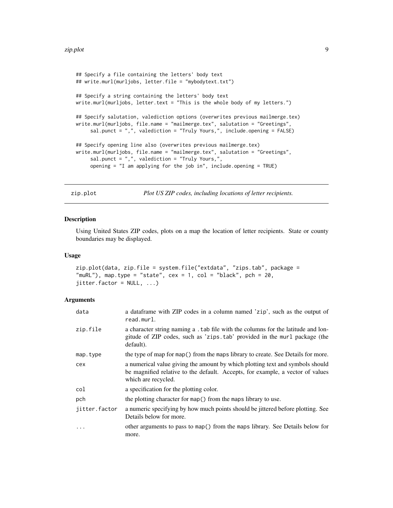```
## Specify a file containing the letters' body text
## write.murl(murljobs, letter.file = "mybodytext.txt")
## Specify a string containing the letters' body text
write.murl(murljobs, letter.text = "This is the whole body of my letters.")
## Specify salutation, valediction options (overwrites previous mailmerge.tex)
write.murl(murljobs, file.name = "mailmerge.tex", salutation = "Greetings",
     sal.punct = ",", valediction = "Truly Yours,", include.opening = FALSE)
## Specify opening line also (overwrites previous mailmerge.tex)
write.murl(murljobs, file.name = "mailmerge.tex", salutation = "Greetings",
     sal.punct = ",", valediction = "Truly Yours,",
     opening = "I am applying for the job in", include.opening = TRUE)
```
zip.plot *Plot US ZIP codes, including locations of letter recipients.*

#### **Description**

Using United States ZIP codes, plots on a map the location of letter recipients. State or county boundaries may be displayed.

#### Usage

```
zip.plot(data, zip.file = system.file("extdata", "zips.tab", package =
"muRL"), map.type = "state", cex = 1, col = "black", pch = 20,
jitter.factor = NULL, ...
```
#### Arguments

| data          | a dataframe with ZIP codes in a column named 'zip', such as the output of<br>read.murl.                                                                                                |
|---------------|----------------------------------------------------------------------------------------------------------------------------------------------------------------------------------------|
| zip.file      | a character string naming a . tab file with the columns for the latitude and lon-<br>gitude of ZIP codes, such as 'zips.tab' provided in the murl package (the<br>default).            |
| map.type      | the type of map for map() from the maps library to create. See Details for more.                                                                                                       |
| cex           | a numerical value giving the amount by which plotting text and symbols should<br>be magnified relative to the default. Accepts, for example, a vector of values<br>which are recycled. |
| col           | a specification for the plotting color.                                                                                                                                                |
| pch           | the plotting character for map() from the maps library to use.                                                                                                                         |
| jitter.factor | a numeric specifying by how much points should be jittered before plotting. See<br>Details below for more.                                                                             |
| $\ddotsc$     | other arguments to pass to map() from the maps library. See Details below for<br>more.                                                                                                 |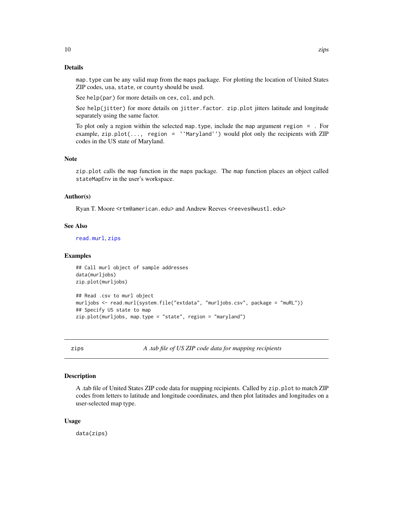#### <span id="page-9-0"></span>Details

map.type can be any valid map from the maps package. For plotting the location of United States ZIP codes, usa, state, or county should be used.

See help(par) for more details on cex, col, and pch.

See help(jitter) for more details on jitter.factor. zip.plot jitters latitude and longitude separately using the same factor.

To plot only a region within the selected map.type, include the map argument region = . For example, zip.plot(..., region = ``Maryland'') would plot only the recipients with ZIP codes in the US state of Maryland.

#### Note

zip.plot calls the map function in the maps package. The map function places an object called stateMapEnv in the user's workspace.

#### Author(s)

Ryan T. Moore <rtm@american.edu> and Andrew Reeves <reeves@wustl.edu>

#### See Also

[read.murl](#page-4-1), [zips](#page-9-1)

#### Examples

## Call murl object of sample addresses data(murljobs) zip.plot(murljobs)

```
## Read .csv to murl object
murljobs <- read.murl(system.file("extdata", "murljobs.csv", package = "muRL"))
## Specify US state to map
zip.plot(murljobs, map.type = "state", region = "maryland")
```
<span id="page-9-1"></span>

zips *A .tab file of US ZIP code data for mapping recipients*

#### **Description**

A .tab file of United States ZIP code data for mapping recipients. Called by zip.plot to match ZIP codes from letters to latitude and longitude coordinates, and then plot latitudes and longitudes on a user-selected map type.

#### Usage

data(zips)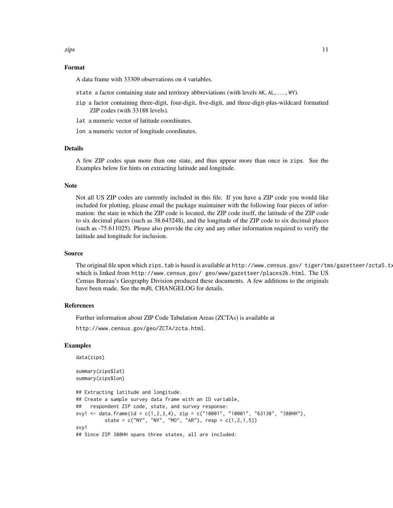#### Format

A data frame with 33309 observations on 4 variables.

- state a factor containing state and territory abbreviations (with levels AK, AL, . . . , WY).
- zip a factor containing three-digit, four-digit, five-digit, and three-digit-plus-wildcard formatted ZIP codes (with 33188 levels).
- lat a numeric vector of latitude coordinates.
- lon a numeric vector of longitude coordinates.

#### Details

A few ZIP codes span more than one state, and thus appear more than once in zips. See the Examples below for hints on extracting latitude and longitude.

#### **Note**

Not all US ZIP codes are currently included in this file. If you have a ZIP code you would like included for plotting, please email the package maintainer with the following four pieces of information: the state in which the ZIP code is located, the ZIP code itself, the latitude of the ZIP code to six decimal places (such as 38.643248), and the longitude of the ZIP code to six decimal places (such as -75.611025). Please also provide the city and any other information required to verify the latitude and longitude for inclusion.

#### Source

The original file upon which zips.tab is based is available at http://www.census.gov/ tiger/tms/gazetteer/zcta5.tx which is linked from http://www.census.gov/ geo/www/gazetteer/places2k.html. The US Census Bureau's Geography Division produced these documents. A few additions to the originals have been made. See the muRL CHANGELOG for details.

#### References

Further information about ZIP Code Tabulation Areas (ZCTAs) is available at

http://www.census.gov/geo/ZCTA/zcta.html.

#### Examples

data(zips)

```
summary(zips$lat)
summary(zips$lon)
## Extracting latitude and longitude.
## Create a sample survey data frame with an ID variable,
## respondent ZIP code, state, and survey response:
svy1 <- data.frame(id = c(1,2,3,4), zip = c("10001", "10001", "63130", "380HH"),
          state = c("NY", "NY", "MO", "AR"), resp = <math>c(1,2,1,5)</math>)svy1
## Since ZIP 380HH spans three states, all are included:
```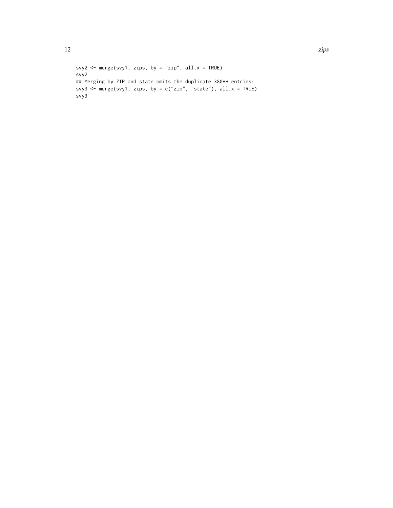```
svy2 <- merge(svy1, zips, by = "zip", all.x = TRUE)
svy2
## Merging by ZIP and state omits the duplicate 380HH entries:
svy3 <- merge(svy1, zips, by = c("zip", "state"), all.x = TRUE)
svy3
```